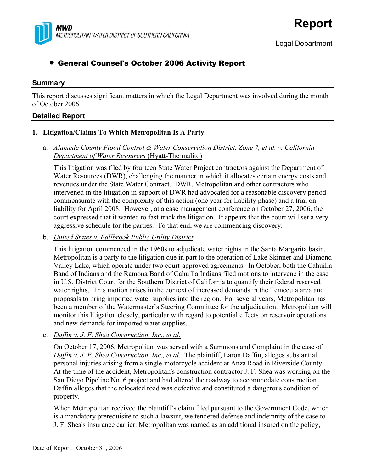

# • General Counsel's October 2006 Activity Report

### **Summary**

This report discusses significant matters in which the Legal Department was involved during the month of October 2006.

## **Detailed Report**

### **1. Litigation/Claims To Which Metropolitan Is A Party**

### a. *Alameda County Flood Control & Water Conservation District, Zone 7, et al. v. California Department of Water Resources* (Hyatt-Thermalito)

This litigation was filed by fourteen State Water Project contractors against the Department of Water Resources (DWR), challenging the manner in which it allocates certain energy costs and revenues under the State Water Contract. DWR, Metropolitan and other contractors who intervened in the litigation in support of DWR had advocated for a reasonable discovery period commensurate with the complexity of this action (one year for liability phase) and a trial on liability for April 2008. However, at a case management conference on October 27, 2006, the court expressed that it wanted to fast-track the litigation. It appears that the court will set a very aggressive schedule for the parties. To that end, we are commencing discovery.

### b. *United States v. Fallbrook Public Utility District*

This litigation commenced in the 1960s to adjudicate water rights in the Santa Margarita basin. Metropolitan is a party to the litigation due in part to the operation of Lake Skinner and Diamond Valley Lake, which operate under two court-approved agreements. In October, both the Cahuilla Band of Indians and the Ramona Band of Cahuilla Indians filed motions to intervene in the case in U.S. District Court for the Southern District of California to quantify their federal reserved water rights. This motion arises in the context of increased demands in the Temecula area and proposals to bring imported water supplies into the region. For several years, Metropolitan has been a member of the Watermaster's Steering Committee for the adjudication. Metropolitan will monitor this litigation closely, particular with regard to potential effects on reservoir operations and new demands for imported water supplies.

c. *Daffin v. J. F. Shea Construction, Inc., et al.*

On October 17, 2006, Metropolitan was served with a Summons and Complaint in the case of *Daffin v. J. F. Shea Construction, Inc., et al.* The plaintiff, Laron Daffin, alleges substantial personal injuries arising from a single-motorcycle accident at Anza Road in Riverside County. At the time of the accident, Metropolitan's construction contractor J. F. Shea was working on the San Diego Pipeline No. 6 project and had altered the roadway to accommodate construction. Daffin alleges that the relocated road was defective and constituted a dangerous condition of property.

When Metropolitan received the plaintiff's claim filed pursuant to the Government Code, which is a mandatory prerequisite to such a lawsuit, we tendered defense and indemnity of the case to J. F. Shea's insurance carrier. Metropolitan was named as an additional insured on the policy,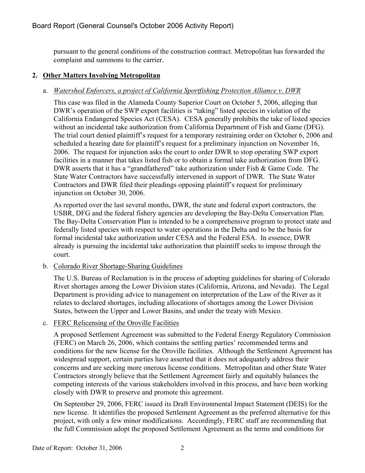pursuant to the general conditions of the construction contract. Metropolitan has forwarded the complaint and summons to the carrier.

## **2. Other Matters Involving Metropolitan**

# a. *Watershed Enforcers, a project of California Sportfishing Protection Alliance v. DWR*

This case was filed in the Alameda County Superior Court on October 5, 2006, alleging that DWR's operation of the SWP export facilities is "taking" listed species in violation of the California Endangered Species Act (CESA). CESA generally prohibits the take of listed species without an incidental take authorization from California Department of Fish and Game (DFG). The trial court denied plaintiff's request for a temporary restraining order on October 6, 2006 and scheduled a hearing date for plaintiff's request for a preliminary injunction on November 16, 2006. The request for injunction asks the court to order DWR to stop operating SWP export facilities in a manner that takes listed fish or to obtain a formal take authorization from DFG. DWR asserts that it has a "grandfathered" take authorization under Fish & Game Code. The State Water Contractors have successfully intervened in support of DWR. The State Water Contractors and DWR filed their pleadings opposing plaintiff's request for preliminary injunction on October 30, 2006.

As reported over the last several months, DWR, the state and federal export contractors, the USBR, DFG and the federal fishery agencies are developing the Bay-Delta Conservation Plan. The Bay-Delta Conservation Plan is intended to be a comprehensive program to protect state and federally listed species with respect to water operations in the Delta and to be the basis for formal incidental take authorization under CESA and the Federal ESA. In essence, DWR already is pursuing the incidental take authorization that plaintiff seeks to impose through the court.

b. Colorado River Shortage-Sharing Guidelines

The U.S. Bureau of Reclamation is in the process of adopting guidelines for sharing of Colorado River shortages among the Lower Division states (California, Arizona, and Nevada). The Legal Department is providing advice to management on interpretation of the Law of the River as it relates to declared shortages, including allocations of shortages among the Lower Division States, between the Upper and Lower Basins, and under the treaty with Mexico.

## c. FERC Relicensing of the Oroville Facilities

A proposed Settlement Agreement was submitted to the Federal Energy Regulatory Commission (FERC) on March 26, 2006, which contains the settling parties' recommended terms and conditions for the new license for the Oroville facilities. Although the Settlement Agreement has widespread support, certain parties have asserted that it does not adequately address their concerns and are seeking more onerous license conditions. Metropolitan and other State Water Contractors strongly believe that the Settlement Agreement fairly and equitably balances the competing interests of the various stakeholders involved in this process, and have been working closely with DWR to preserve and promote this agreement.

On September 29, 2006, FERC issued its Draft Environmental Impact Statement (DEIS) for the new license. It identifies the proposed Settlement Agreement as the preferred alternative for this project, with only a few minor modifications. Accordingly, FERC staff are recommending that the full Commission adopt the proposed Settlement Agreement as the terms and conditions for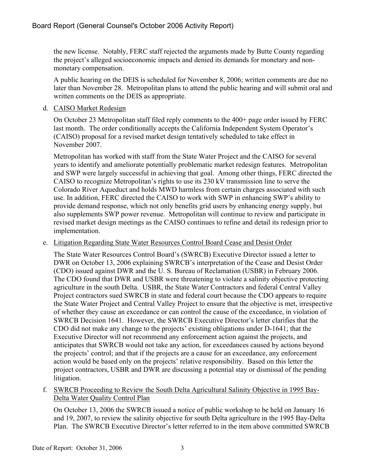the new license. Notably, FERC staff rejected the arguments made by Butte County regarding the project's alleged socioeconomic impacts and denied its demands for monetary and nonmonetary compensation.

A public hearing on the DEIS is scheduled for November 8, 2006; written comments are due no later than November 28. Metropolitan plans to attend the public hearing and will submit oral and written comments on the DEIS as appropriate.

### d. CAISO Market Redesign

On October 23 Metropolitan staff filed reply comments to the 400+ page order issued by FERC last month. The order conditionally accepts the California Independent System Operator's (CAISO) proposal for a revised market design tentatively scheduled to take effect in November 2007.

Metropolitan has worked with staff from the State Water Project and the CAISO for several years to identify and ameliorate potentially problematic market redesign features. Metropolitan and SWP were largely successful in achieving that goal. Among other things, FERC directed the CAISO to recognize Metropolitan's rights to use its 230 kV transmission line to serve the Colorado River Aqueduct and holds MWD harmless from certain charges associated with such use. In addition, FERC directed the CAISO to work with SWP in enhancing SWP's ability to provide demand response, which not only benefits grid users by enhancing energy supply, but also supplements SWP power revenue. Metropolitan will continue to review and participate in revised market design meetings as the CAISO continues to refine and detail its redesign prior to implementation.

### e. Litigation Regarding State Water Resources Control Board Cease and Desist Order

The State Water Resources Control Board's (SWRCB) Executive Director issued a letter to DWR on October 13, 2006 explaining SWRCB's interpretation of the Cease and Desist Order (CDO) issued against DWR and the U. S. Bureau of Reclamation (USBR) in February 2006. The CDO found that DWR and USBR were threatening to violate a salinity objective protecting agriculture in the south Delta. USBR, the State Water Contractors and federal Central Valley Project contractors sued SWRCB in state and federal court because the CDO appears to require the State Water Project and Central Valley Project to ensure that the objective is met, irrespective of whether they cause an exceedance or can control the cause of the exceedance, in violation of SWRCB Decision 1641. However, the SWRCB Executive Director's letter clarifies that the CDO did not make any change to the projects' existing obligations under D-1641; that the Executive Director will not recommend any enforcement action against the projects, and anticipates that SWRCB would not take any action, for exceedances caused by actions beyond the projects' control; and that if the projects are a cause for an exceedance, any enforcement action would be based only on the projects' relative responsibility. Based on this letter the project contractors, USBR and DWR are discussing a potential stay or dismissal of the pending litigation.

f. SWRCB Proceeding to Review the South Delta Agricultural Salinity Objective in 1995 Bay-Delta Water Quality Control Plan

On October 13, 2006 the SWRCB issued a notice of public workshop to be held on January 16 and 19, 2007, to review the salinity objective for south Delta agriculture in the 1995 Bay-Delta Plan. The SWRCB Executive Director's letter referred to in the item above committed SWRCB